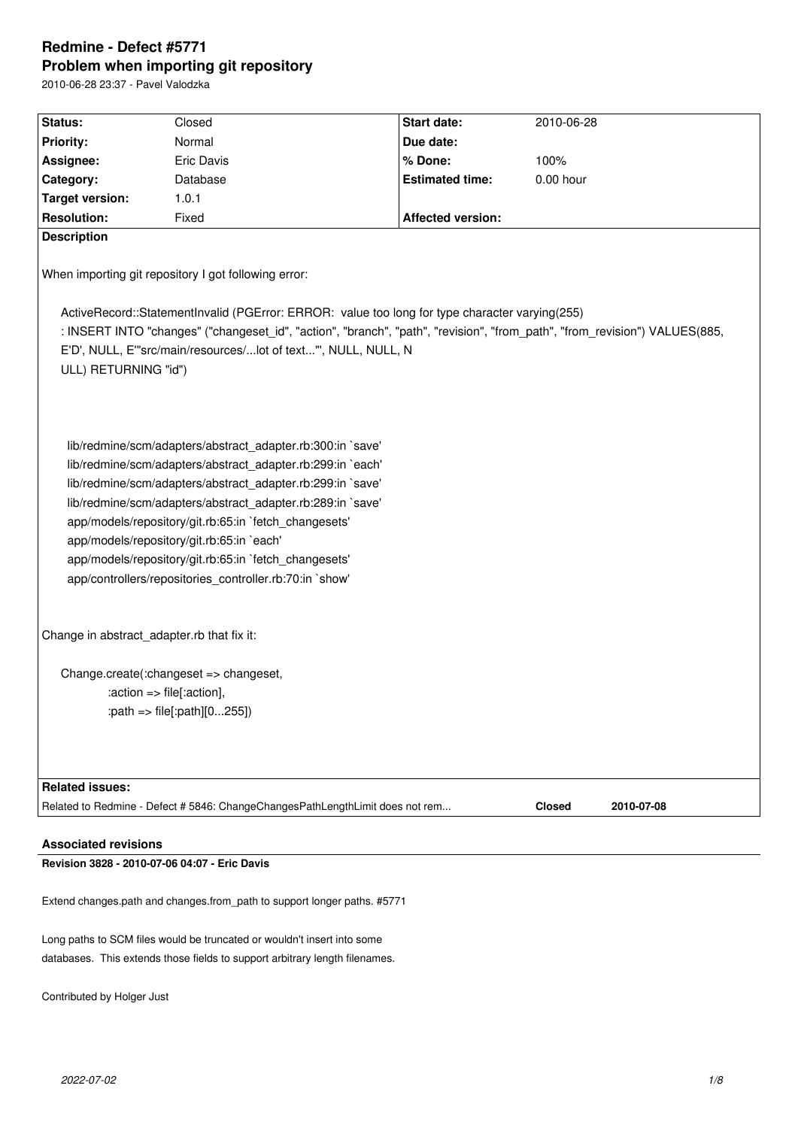# **Redmine - Defect #5771 Problem when importing git repository**

2010-06-28 23:37 - Pavel Valodzka

| Status:                                                                                                                                                                                                                                                                              | Closed                                                                                                                                                                                                                                                                                                                                                                                                                                                                         | Start date:              | 2010-06-28                  |  |  |  |
|--------------------------------------------------------------------------------------------------------------------------------------------------------------------------------------------------------------------------------------------------------------------------------------|--------------------------------------------------------------------------------------------------------------------------------------------------------------------------------------------------------------------------------------------------------------------------------------------------------------------------------------------------------------------------------------------------------------------------------------------------------------------------------|--------------------------|-----------------------------|--|--|--|
| <b>Priority:</b>                                                                                                                                                                                                                                                                     | Normal                                                                                                                                                                                                                                                                                                                                                                                                                                                                         | Due date:                |                             |  |  |  |
| Assignee:                                                                                                                                                                                                                                                                            | Eric Davis                                                                                                                                                                                                                                                                                                                                                                                                                                                                     | % Done:                  | 100%                        |  |  |  |
| Category:                                                                                                                                                                                                                                                                            | Database                                                                                                                                                                                                                                                                                                                                                                                                                                                                       | <b>Estimated time:</b>   | $0.00$ hour                 |  |  |  |
| <b>Target version:</b>                                                                                                                                                                                                                                                               | 1.0.1                                                                                                                                                                                                                                                                                                                                                                                                                                                                          |                          |                             |  |  |  |
| <b>Resolution:</b>                                                                                                                                                                                                                                                                   | Fixed                                                                                                                                                                                                                                                                                                                                                                                                                                                                          | <b>Affected version:</b> |                             |  |  |  |
| <b>Description</b>                                                                                                                                                                                                                                                                   |                                                                                                                                                                                                                                                                                                                                                                                                                                                                                |                          |                             |  |  |  |
| When importing git repository I got following error:<br>ActiveRecord::StatementInvalid (PGError: ERROR: value too long for type character varying(255)<br>: INSERT INTO "changes" ("changeset_id", "action", "branch", "path", "revision", "from_path", "from_revision") VALUES(885, |                                                                                                                                                                                                                                                                                                                                                                                                                                                                                |                          |                             |  |  |  |
| E'D', NULL, E"'src/main/resources/lot of text"', NULL, NULL, N                                                                                                                                                                                                                       |                                                                                                                                                                                                                                                                                                                                                                                                                                                                                |                          |                             |  |  |  |
| ULL) RETURNING "id")                                                                                                                                                                                                                                                                 |                                                                                                                                                                                                                                                                                                                                                                                                                                                                                |                          |                             |  |  |  |
|                                                                                                                                                                                                                                                                                      | lib/redmine/scm/adapters/abstract_adapter.rb:300:in `save'<br>lib/redmine/scm/adapters/abstract adapter.rb:299:in `each'<br>lib/redmine/scm/adapters/abstract adapter.rb:299:in `save'<br>lib/redmine/scm/adapters/abstract_adapter.rb:289:in `save'<br>app/models/repository/git.rb:65:in `fetch_changesets'<br>app/models/repository/git.rb:65:in `each'<br>app/models/repository/git.rb:65:in `fetch_changesets'<br>app/controllers/repositories_controller.rb:70:in `show' |                          |                             |  |  |  |
| Change in abstract adapter.rb that fix it:                                                                                                                                                                                                                                           |                                                                                                                                                                                                                                                                                                                                                                                                                                                                                |                          |                             |  |  |  |
|                                                                                                                                                                                                                                                                                      | Change.create(:changeset => changeset,<br>:action => file[:action],<br>:path => file[:path][0255])                                                                                                                                                                                                                                                                                                                                                                             |                          |                             |  |  |  |
| <b>Related issues:</b>                                                                                                                                                                                                                                                               |                                                                                                                                                                                                                                                                                                                                                                                                                                                                                |                          |                             |  |  |  |
|                                                                                                                                                                                                                                                                                      | Related to Redmine - Defect # 5846: ChangeChangesPathLengthLimit does not rem                                                                                                                                                                                                                                                                                                                                                                                                  |                          | <b>Closed</b><br>2010-07-08 |  |  |  |
| <b>Associated revisions</b>                                                                                                                                                                                                                                                          |                                                                                                                                                                                                                                                                                                                                                                                                                                                                                |                          |                             |  |  |  |

**Revision 3828 - 2010-07-06 04:07 - Eric Davis**

Extend changes.path and changes.from\_path to support longer paths. #5771

Long paths to SCM files would be truncated or wouldn't insert into some databases. This extends those fields to support arbitrary length filenames.

Contributed by Holger Just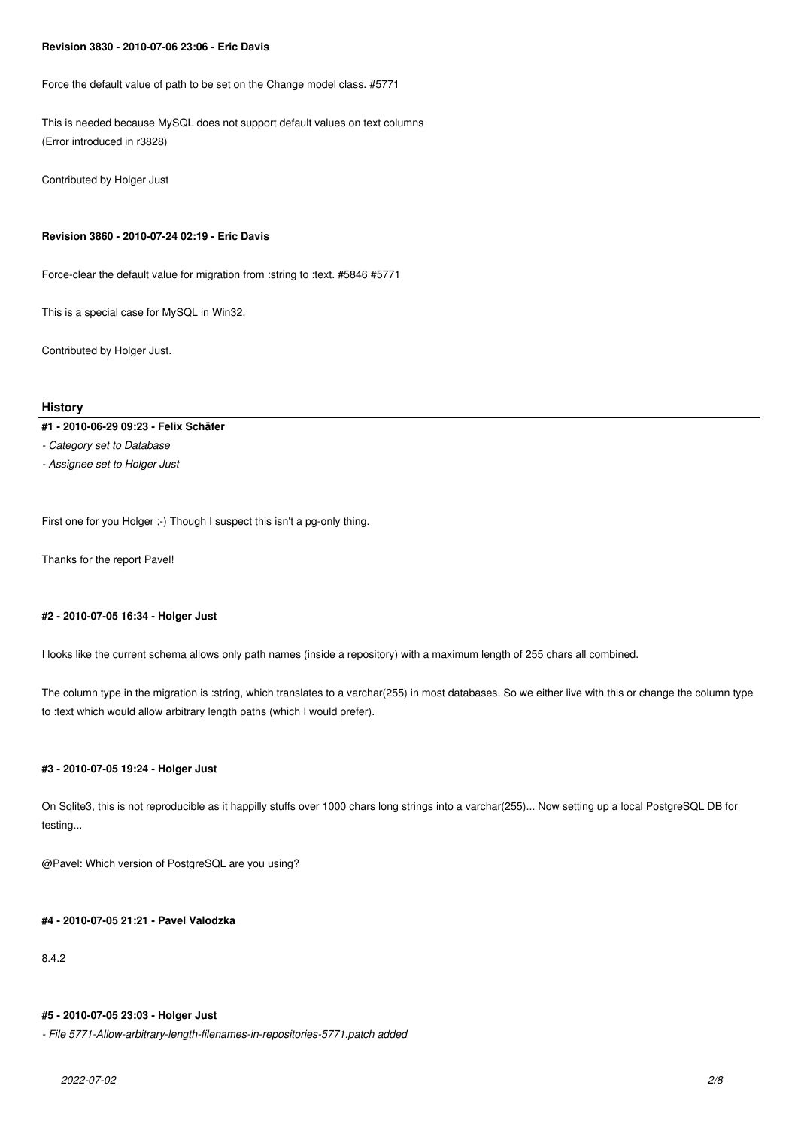#### **Revision 3830 - 2010-07-06 23:06 - Eric Davis**

Force the default value of path to be set on the Change model class. #5771

This is needed because MySQL does not support default values on text columns (Error introduced in r3828)

Contributed by Holger Just

### **Revision 3860 - 2010-07-24 02:19 - Eric Davis**

Force-clear the default value for migration from :string to :text. #5846 #5771

This is a special case for MySQL in Win32.

Contributed by Holger Just.

# **History**

#### **#1 - 2010-06-29 09:23 - Felix Schäfer**

*- Category set to Database*

*- Assignee set to Holger Just*

First one for you Holger ;-) Though I suspect this isn't a pg-only thing.

Thanks for the report Pavel!

## **#2 - 2010-07-05 16:34 - Holger Just**

I looks like the current schema allows only path names (inside a repository) with a maximum length of 255 chars all combined.

The column type in the migration is :string, which translates to a varchar(255) in most databases. So we either live with this or change the column type to :text which would allow arbitrary length paths (which I would prefer).

# **#3 - 2010-07-05 19:24 - Holger Just**

On Sqlite3, this is not reproducible as it happilly stuffs over 1000 chars long strings into a varchar(255)... Now setting up a local PostgreSQL DB for testing...

@Pavel: Which version of PostgreSQL are you using?

# **#4 - 2010-07-05 21:21 - Pavel Valodzka**

8.4.2

## **#5 - 2010-07-05 23:03 - Holger Just**

*- File 5771-Allow-arbitrary-length-filenames-in-repositories-5771.patch added*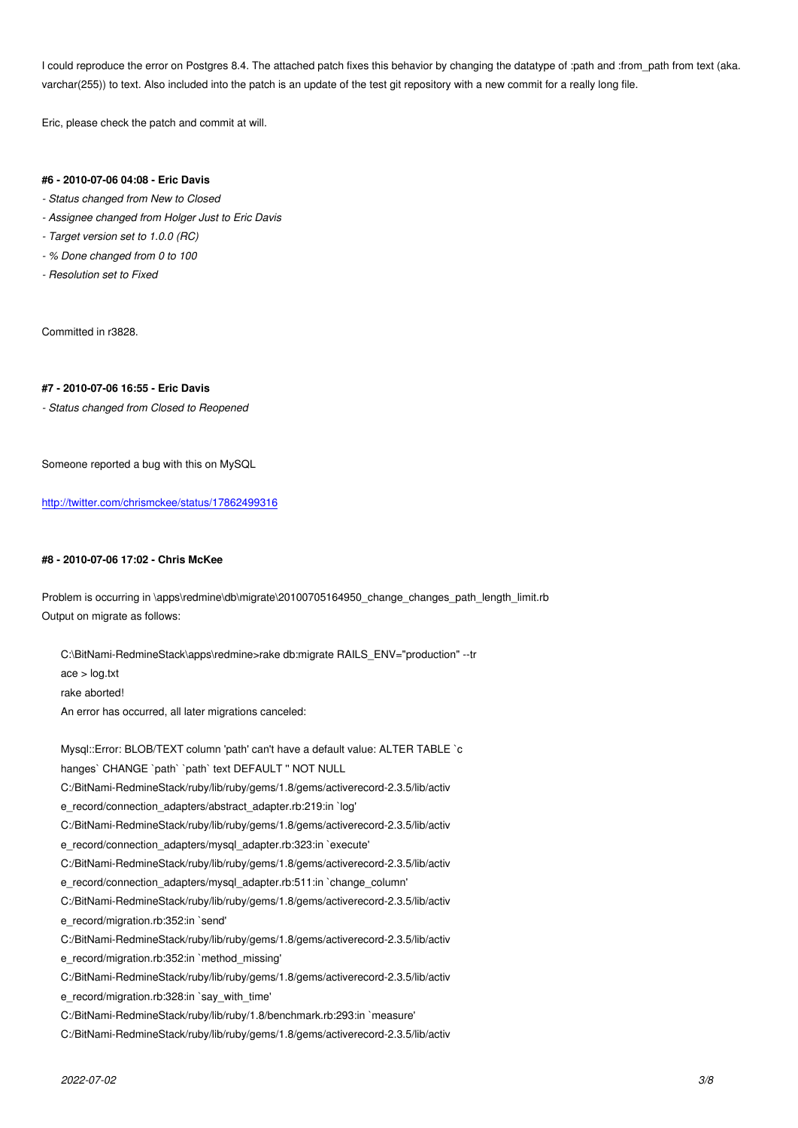I could reproduce the error on Postgres 8.4. The attached patch fixes this behavior by changing the datatype of :path and :from\_path from text (aka. varchar(255)) to text. Also included into the patch is an update of the test git repository with a new commit for a really long file.

Eric, please check the patch and commit at will.

#### **#6 - 2010-07-06 04:08 - Eric Davis**

- *Status changed from New to Closed*
- *Assignee changed from Holger Just to Eric Davis*
- *Target version set to 1.0.0 (RC)*
- *% Done changed from 0 to 100*
- *Resolution set to Fixed*

Committed in r3828.

#### **#7 - 2010-07-06 16:55 - Eric Davis**

*- Status changed from Closed to Reopened*

Someone reported a bug with this on MySQL

http://twitter.com/chrismckee/status/17862499316

## **[#8 - 2010-07-06 17:02 - Chris McKee](http://twitter.com/chrismckee/status/17862499316)**

Problem is occurring in \apps\redmine\db\migrate\20100705164950\_change\_changes\_path\_length\_limit.rb Output on migrate as follows:

C:\BitNami-RedmineStack\apps\redmine>rake db:migrate RAILS\_ENV="production" --tr

ace > log.txt

rake aborted!

An error has occurred, all later migrations canceled:

Mysql::Error: BLOB/TEXT column 'path' can't have a default value: ALTER TABLE `c hanges` CHANGE `path` `path` text DEFAULT " NOT NULL C:/BitNami-RedmineStack/ruby/lib/ruby/gems/1.8/gems/activerecord-2.3.5/lib/activ e\_record/connection\_adapters/abstract\_adapter.rb:219:in `log' C:/BitNami-RedmineStack/ruby/lib/ruby/gems/1.8/gems/activerecord-2.3.5/lib/activ e\_record/connection\_adapters/mysql\_adapter.rb:323:in `execute' C:/BitNami-RedmineStack/ruby/lib/ruby/gems/1.8/gems/activerecord-2.3.5/lib/activ e\_record/connection\_adapters/mysql\_adapter.rb:511:in `change\_column' C:/BitNami-RedmineStack/ruby/lib/ruby/gems/1.8/gems/activerecord-2.3.5/lib/activ e\_record/migration.rb:352:in `send' C:/BitNami-RedmineStack/ruby/lib/ruby/gems/1.8/gems/activerecord-2.3.5/lib/activ e\_record/migration.rb:352:in `method\_missing' C:/BitNami-RedmineStack/ruby/lib/ruby/gems/1.8/gems/activerecord-2.3.5/lib/activ e\_record/migration.rb:328:in `say\_with\_time' C:/BitNami-RedmineStack/ruby/lib/ruby/1.8/benchmark.rb:293:in `measure' C:/BitNami-RedmineStack/ruby/lib/ruby/gems/1.8/gems/activerecord-2.3.5/lib/activ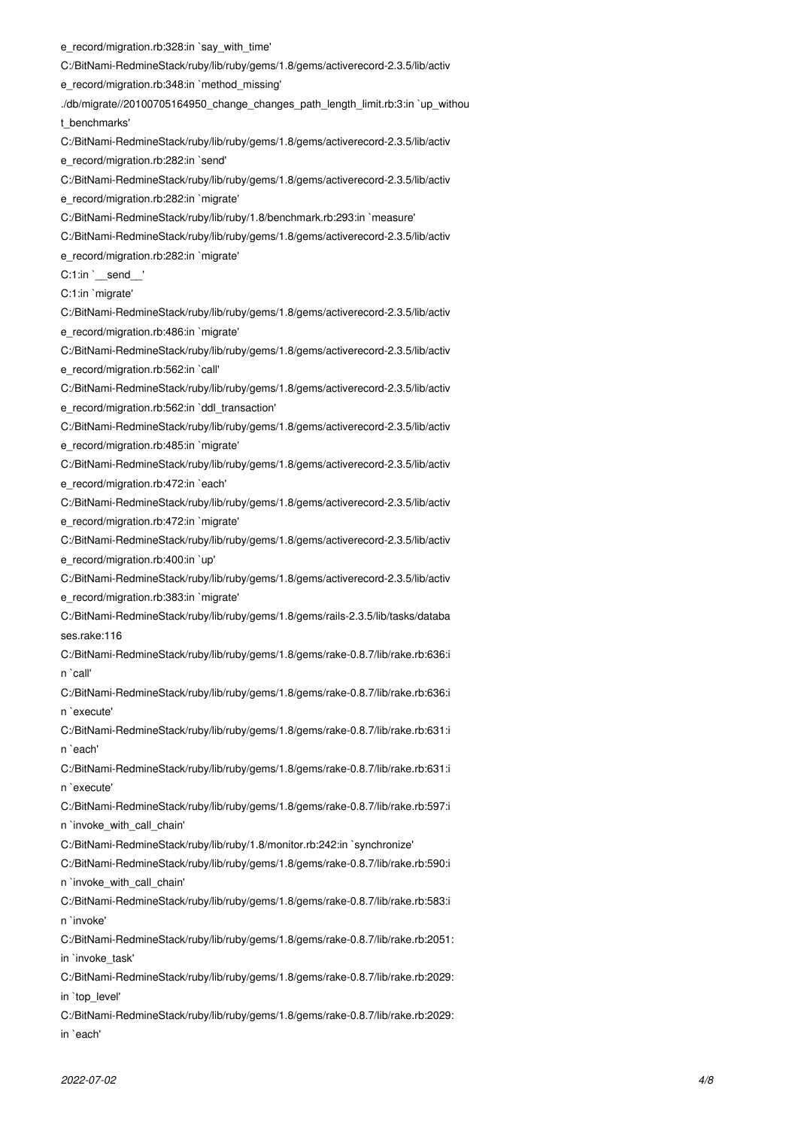e\_record/migration.rb:328:in `say\_with\_time' C:/BitNami-RedmineStack/ruby/lib/ruby/gems/1.8/gems/activerecord-2.3.5/lib/activ e\_record/migration.rb:348:in `method\_missing' ./db/migrate//20100705164950\_change\_changes\_path\_length\_limit.rb:3:in `up\_withou t\_benchmarks' C:/BitNami-RedmineStack/ruby/lib/ruby/gems/1.8/gems/activerecord-2.3.5/lib/activ e\_record/migration.rb:282:in `send' C:/BitNami-RedmineStack/ruby/lib/ruby/gems/1.8/gems/activerecord-2.3.5/lib/activ e\_record/migration.rb:282:in `migrate' C:/BitNami-RedmineStack/ruby/lib/ruby/1.8/benchmark.rb:293:in `measure' C:/BitNami-RedmineStack/ruby/lib/ruby/gems/1.8/gems/activerecord-2.3.5/lib/activ e\_record/migration.rb:282:in `migrate' C:1:in `\_\_send\_\_' C:1:in `migrate' C:/BitNami-RedmineStack/ruby/lib/ruby/gems/1.8/gems/activerecord-2.3.5/lib/activ e\_record/migration.rb:486:in `migrate' C:/BitNami-RedmineStack/ruby/lib/ruby/gems/1.8/gems/activerecord-2.3.5/lib/activ e\_record/migration.rb:562:in `call' C:/BitNami-RedmineStack/ruby/lib/ruby/gems/1.8/gems/activerecord-2.3.5/lib/activ e\_record/migration.rb:562:in `ddl\_transaction' C:/BitNami-RedmineStack/ruby/lib/ruby/gems/1.8/gems/activerecord-2.3.5/lib/activ e\_record/migration.rb:485:in `migrate' C:/BitNami-RedmineStack/ruby/lib/ruby/gems/1.8/gems/activerecord-2.3.5/lib/activ e\_record/migration.rb:472:in `each' C:/BitNami-RedmineStack/ruby/lib/ruby/gems/1.8/gems/activerecord-2.3.5/lib/activ e\_record/migration.rb:472:in `migrate' C:/BitNami-RedmineStack/ruby/lib/ruby/gems/1.8/gems/activerecord-2.3.5/lib/activ e\_record/migration.rb:400:in `up' C:/BitNami-RedmineStack/ruby/lib/ruby/gems/1.8/gems/activerecord-2.3.5/lib/activ e\_record/migration.rb:383:in `migrate' C:/BitNami-RedmineStack/ruby/lib/ruby/gems/1.8/gems/rails-2.3.5/lib/tasks/databa ses.rake:116 C:/BitNami-RedmineStack/ruby/lib/ruby/gems/1.8/gems/rake-0.8.7/lib/rake.rb:636:i n `call' C:/BitNami-RedmineStack/ruby/lib/ruby/gems/1.8/gems/rake-0.8.7/lib/rake.rb:636:i n `execute' C:/BitNami-RedmineStack/ruby/lib/ruby/gems/1.8/gems/rake-0.8.7/lib/rake.rb:631:i n `each' C:/BitNami-RedmineStack/ruby/lib/ruby/gems/1.8/gems/rake-0.8.7/lib/rake.rb:631:i n `execute' C:/BitNami-RedmineStack/ruby/lib/ruby/gems/1.8/gems/rake-0.8.7/lib/rake.rb:597:i n `invoke\_with\_call\_chain' C:/BitNami-RedmineStack/ruby/lib/ruby/1.8/monitor.rb:242:in `synchronize' C:/BitNami-RedmineStack/ruby/lib/ruby/gems/1.8/gems/rake-0.8.7/lib/rake.rb:590:i n `invoke\_with\_call\_chain' C:/BitNami-RedmineStack/ruby/lib/ruby/gems/1.8/gems/rake-0.8.7/lib/rake.rb:583:i n `invoke' C:/BitNami-RedmineStack/ruby/lib/ruby/gems/1.8/gems/rake-0.8.7/lib/rake.rb:2051: in `invoke\_task' C:/BitNami-RedmineStack/ruby/lib/ruby/gems/1.8/gems/rake-0.8.7/lib/rake.rb:2029: in 'top\_level' C:/BitNami-RedmineStack/ruby/lib/ruby/gems/1.8/gems/rake-0.8.7/lib/rake.rb:2029: in `each'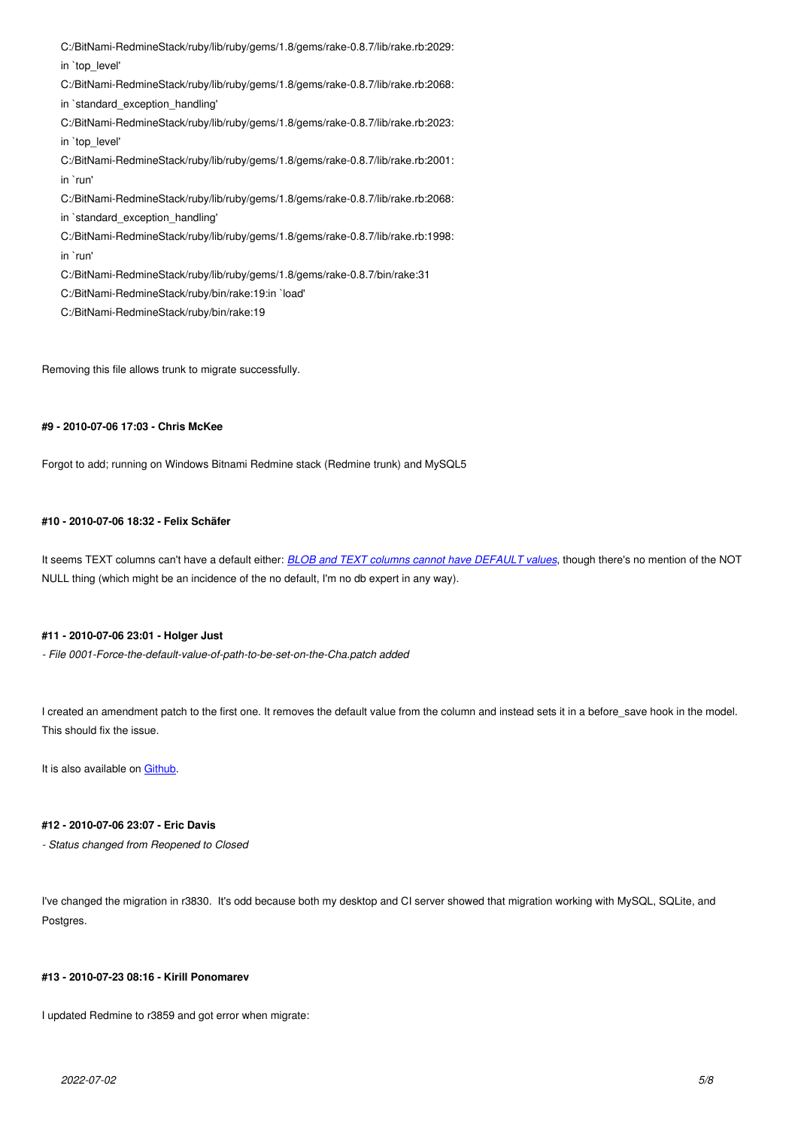$\overline{u}$   $\overline{v}$   $\overline{v}$   $\overline{v}$   $\overline{v}$   $\overline{v}$   $\overline{v}$   $\overline{v}$ C:/BitNami-RedmineStack/ruby/lib/ruby/gems/1.8/gems/rake-0.8.7/lib/rake.rb:2068: in `standard\_exception\_handling' C:/BitNami-RedmineStack/ruby/lib/ruby/gems/1.8/gems/rake-0.8.7/lib/rake.rb:2023: in `top\_level' C:/BitNami-RedmineStack/ruby/lib/ruby/gems/1.8/gems/rake-0.8.7/lib/rake.rb:2001: in `run' C:/BitNami-RedmineStack/ruby/lib/ruby/gems/1.8/gems/rake-0.8.7/lib/rake.rb:2068: in `standard\_exception\_handling' C:/BitNami-RedmineStack/ruby/lib/ruby/gems/1.8/gems/rake-0.8.7/lib/rake.rb:1998: in `run' C:/BitNami-RedmineStack/ruby/lib/ruby/gems/1.8/gems/rake-0.8.7/bin/rake:31 C:/BitNami-RedmineStack/ruby/bin/rake:19:in `load' C:/BitNami-RedmineStack/ruby/bin/rake:19

Removing this file allows trunk to migrate successfully.

# **#9 - 2010-07-06 17:03 - Chris McKee**

Forgot to add; running on Windows Bitnami Redmine stack (Redmine trunk) and MySQL5

## **#10 - 2010-07-06 18:32 - Felix Schäfer**

It seems TEXT columns can't have a default either: *BLOB and TEXT columns cannot have DEFAULT values*, though there's no mention of the NOT NULL thing (which might be an incidence of the no default, I'm no db expert in any way).

## **#11 - 2010-07-06 23:01 - Holger Just**

*- File 0001-Force-the-default-value-of-path-to-be-set-on-the-Cha.patch added*

I created an amendment patch to the first one. It removes the default value from the column and instead sets it in a before save hook in the model. This should fix the issue.

It is also available on Github.

## **#12 - 2010-07-06 23:[07 - Eri](http://github.com/meineerde/redmine/commit/89cb1b9c8b6e8f9e499e350b067115a50b63c75b)c Davis**

*- Status changed from Reopened to Closed*

I've changed the migration in r3830. It's odd because both my desktop and CI server showed that migration working with MySQL, SQLite, and Postgres.

### **#13 - 2010-07-23 08:16 - Kirill Ponomarev**

I updated Redmine to r3859 and got error when migrate: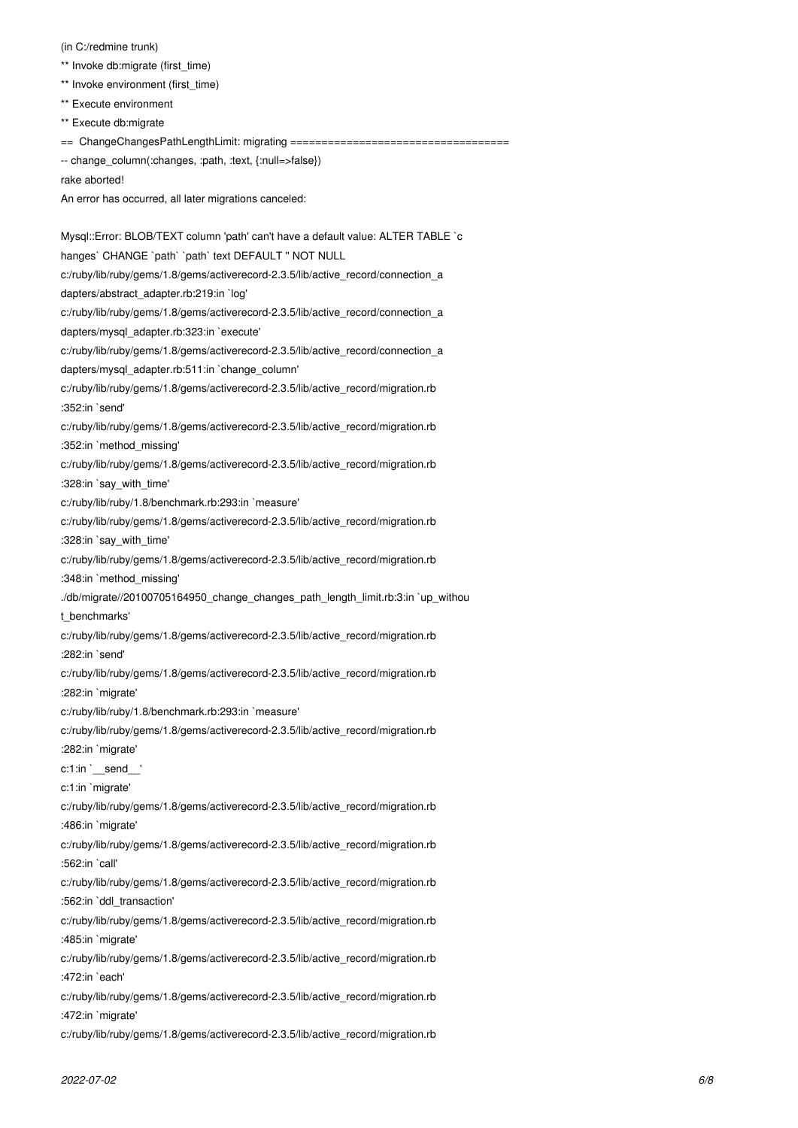(in C:/redmine trunk)

- \*\* Invoke db:migrate (first\_time)
- \*\* Invoke environment (first\_time)
- \*\* Execute environment

\*\* Execute db:migrate

== ChangeChangesPathLengthLimit: migrating ===================================

-- change\_column(:changes, :path, :text, {:null=>false})

rake aborted!

An error has occurred, all later migrations canceled:

Mysql::Error: BLOB/TEXT column 'path' can't have a default value: ALTER TABLE `c hanges` CHANGE `path` `path` text DEFAULT " NOT NULL c:/ruby/lib/ruby/gems/1.8/gems/activerecord-2.3.5/lib/active\_record/connection\_a dapters/abstract\_adapter.rb:219:in `log' c:/ruby/lib/ruby/gems/1.8/gems/activerecord-2.3.5/lib/active\_record/connection\_a dapters/mysql\_adapter.rb:323:in `execute' c:/ruby/lib/ruby/gems/1.8/gems/activerecord-2.3.5/lib/active\_record/connection\_a dapters/mysql\_adapter.rb:511:in `change\_column' c:/ruby/lib/ruby/gems/1.8/gems/activerecord-2.3.5/lib/active\_record/migration.rb :352:in `send' c:/ruby/lib/ruby/gems/1.8/gems/activerecord-2.3.5/lib/active\_record/migration.rb :352:in `method\_missing' c:/ruby/lib/ruby/gems/1.8/gems/activerecord-2.3.5/lib/active\_record/migration.rb :328:in `say\_with\_time' c:/ruby/lib/ruby/1.8/benchmark.rb:293:in `measure' c:/ruby/lib/ruby/gems/1.8/gems/activerecord-2.3.5/lib/active\_record/migration.rb :328:in `say\_with\_time' c:/ruby/lib/ruby/gems/1.8/gems/activerecord-2.3.5/lib/active\_record/migration.rb :348:in `method\_missing' ./db/migrate//20100705164950\_change\_changes\_path\_length\_limit.rb:3:in `up\_withou t\_benchmarks' c:/ruby/lib/ruby/gems/1.8/gems/activerecord-2.3.5/lib/active\_record/migration.rb :282:in `send' c:/ruby/lib/ruby/gems/1.8/gems/activerecord-2.3.5/lib/active\_record/migration.rb :282:in `migrate' c:/ruby/lib/ruby/1.8/benchmark.rb:293:in `measure' c:/ruby/lib/ruby/gems/1.8/gems/activerecord-2.3.5/lib/active\_record/migration.rb :282:in `migrate' c:1:in `\_\_send\_\_' c:1:in `migrate' c:/ruby/lib/ruby/gems/1.8/gems/activerecord-2.3.5/lib/active\_record/migration.rb :486:in `migrate' c:/ruby/lib/ruby/gems/1.8/gems/activerecord-2.3.5/lib/active\_record/migration.rb :562:in `call' c:/ruby/lib/ruby/gems/1.8/gems/activerecord-2.3.5/lib/active\_record/migration.rb :562:in `ddl\_transaction' c:/ruby/lib/ruby/gems/1.8/gems/activerecord-2.3.5/lib/active\_record/migration.rb :485:in `migrate' c:/ruby/lib/ruby/gems/1.8/gems/activerecord-2.3.5/lib/active\_record/migration.rb :472:in `each' c:/ruby/lib/ruby/gems/1.8/gems/activerecord-2.3.5/lib/active\_record/migration.rb :472:in `migrate' c:/ruby/lib/ruby/gems/1.8/gems/activerecord-2.3.5/lib/active\_record/migration.rb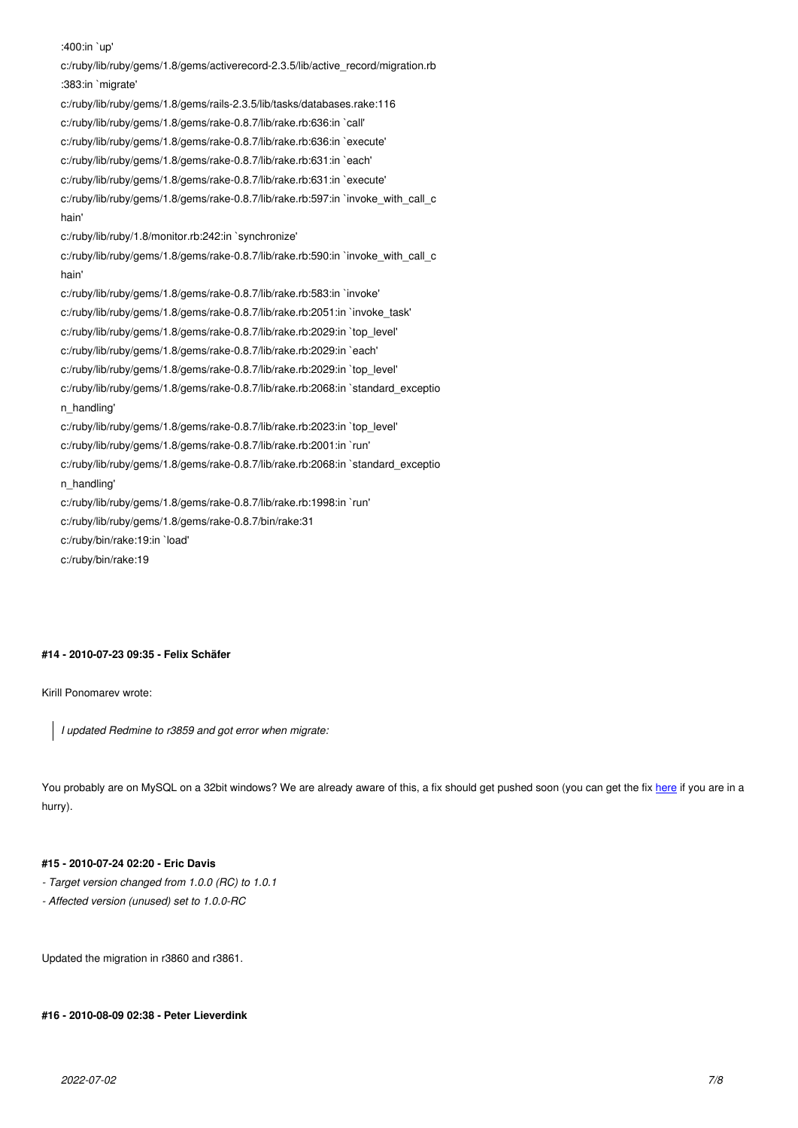c:/ruby/lib/ruby/gems/1.8/gems/activerecord-2.3.5/lib/active\_record/migration.rb :383:in `migrate' c:/ruby/lib/ruby/gems/1.8/gems/rails-2.3.5/lib/tasks/databases.rake:116 c:/ruby/lib/ruby/gems/1.8/gems/rake-0.8.7/lib/rake.rb:636:in `call' c:/ruby/lib/ruby/gems/1.8/gems/rake-0.8.7/lib/rake.rb:636:in `execute' c:/ruby/lib/ruby/gems/1.8/gems/rake-0.8.7/lib/rake.rb:631:in `each' c:/ruby/lib/ruby/gems/1.8/gems/rake-0.8.7/lib/rake.rb:631:in `execute' c:/ruby/lib/ruby/gems/1.8/gems/rake-0.8.7/lib/rake.rb:597:in `invoke\_with\_call\_c hain' c:/ruby/lib/ruby/1.8/monitor.rb:242:in `synchronize' c:/ruby/lib/ruby/gems/1.8/gems/rake-0.8.7/lib/rake.rb:590:in `invoke\_with\_call\_c hain' c:/ruby/lib/ruby/gems/1.8/gems/rake-0.8.7/lib/rake.rb:583:in `invoke' c:/ruby/lib/ruby/gems/1.8/gems/rake-0.8.7/lib/rake.rb:2051:in `invoke\_task' c:/ruby/lib/ruby/gems/1.8/gems/rake-0.8.7/lib/rake.rb:2029:in `top\_level' c:/ruby/lib/ruby/gems/1.8/gems/rake-0.8.7/lib/rake.rb:2029:in `each' c:/ruby/lib/ruby/gems/1.8/gems/rake-0.8.7/lib/rake.rb:2029:in `top\_level' c:/ruby/lib/ruby/gems/1.8/gems/rake-0.8.7/lib/rake.rb:2068:in `standard\_exceptio n\_handling' c:/ruby/lib/ruby/gems/1.8/gems/rake-0.8.7/lib/rake.rb:2023:in `top\_level' c:/ruby/lib/ruby/gems/1.8/gems/rake-0.8.7/lib/rake.rb:2001:in `run' c:/ruby/lib/ruby/gems/1.8/gems/rake-0.8.7/lib/rake.rb:2068:in `standard\_exceptio n\_handling' c:/ruby/lib/ruby/gems/1.8/gems/rake-0.8.7/lib/rake.rb:1998:in `run' c:/ruby/lib/ruby/gems/1.8/gems/rake-0.8.7/bin/rake:31 c:/ruby/bin/rake:19:in `load' c:/ruby/bin/rake:19

#### **#14 - 2010-07-23 09:35 - Felix Schäfer**

Kirill Ponomarev wrote:

*I updated Redmine to r3859 and got error when migrate:*

You probably are on MySQL on a 32bit windows? We are already aware of this, a fix should get pushed soon (you can get the fix here if you are in a hurry).

## **#15 - 2010-07-24 02:20 - Eric Davis**

- *Target version changed from 1.0.0 (RC) to 1.0.1*
- *Affected version (unused) set to 1.0.0-RC*

Updated the migration in r3860 and r3861.

#### **#16 - 2010-08-09 02:38 - Peter Lieverdink**